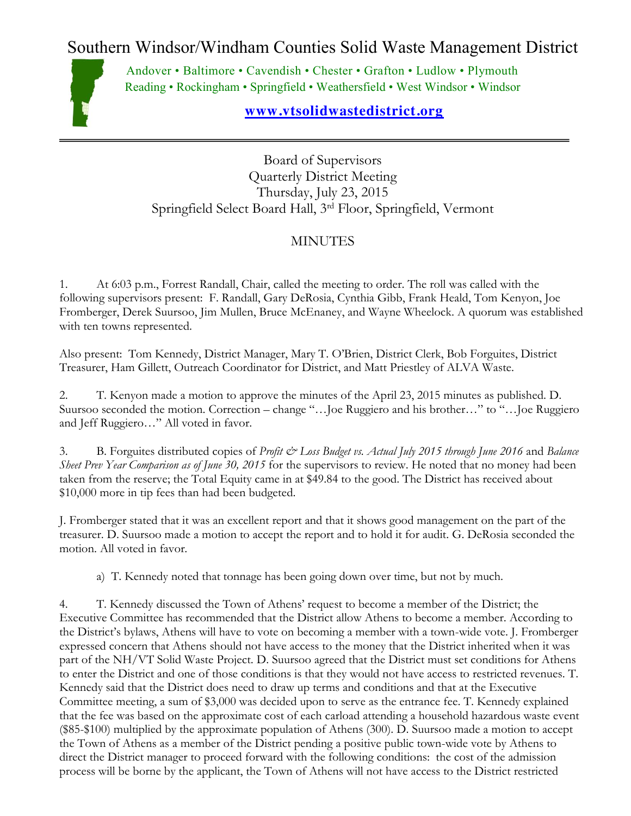Southern Windsor/Windham Counties Solid Waste Management District



Andover • Baltimore • Cavendish • Chester • Grafton • Ludlow • Plymouth Reading • Rockingham • Springfield • Weathersfield • West Windsor • Windsor

## **[www.vtsolidwastedistrict.org](http://www.vtsolidwastedistrict.org/)**

Board of Supervisors Quarterly District Meeting Thursday, July 23, 2015 Springfield Select Board Hall, 3rd Floor, Springfield, Vermont

## MINUTES

1. At 6:03 p.m., Forrest Randall, Chair, called the meeting to order. The roll was called with the following supervisors present: F. Randall, Gary DeRosia, Cynthia Gibb, Frank Heald, Tom Kenyon, Joe Fromberger, Derek Suursoo, Jim Mullen, Bruce McEnaney, and Wayne Wheelock. A quorum was established with ten towns represented.

Also present: Tom Kennedy, District Manager, Mary T. O'Brien, District Clerk, Bob Forguites, District Treasurer, Ham Gillett, Outreach Coordinator for District, and Matt Priestley of ALVA Waste.

2. T. Kenyon made a motion to approve the minutes of the April 23, 2015 minutes as published. D. Suursoo seconded the motion. Correction – change "…Joe Ruggiero and his brother…" to "…Joe Ruggiero and Jeff Ruggiero…" All voted in favor.

3. B. Forguites distributed copies of *Profit & Loss Budget vs. Actual July 2015 through June 2016* and *Balance Sheet Prev Year Comparison as of June 30, 2015* for the supervisors to review. He noted that no money had been taken from the reserve; the Total Equity came in at \$49.84 to the good. The District has received about \$10,000 more in tip fees than had been budgeted.

J. Fromberger stated that it was an excellent report and that it shows good management on the part of the treasurer. D. Suursoo made a motion to accept the report and to hold it for audit. G. DeRosia seconded the motion. All voted in favor.

a) T. Kennedy noted that tonnage has been going down over time, but not by much.

4. T. Kennedy discussed the Town of Athens' request to become a member of the District; the Executive Committee has recommended that the District allow Athens to become a member. According to the District's bylaws, Athens will have to vote on becoming a member with a town-wide vote. J. Fromberger expressed concern that Athens should not have access to the money that the District inherited when it was part of the NH/VT Solid Waste Project. D. Suursoo agreed that the District must set conditions for Athens to enter the District and one of those conditions is that they would not have access to restricted revenues. T. Kennedy said that the District does need to draw up terms and conditions and that at the Executive Committee meeting, a sum of \$3,000 was decided upon to serve as the entrance fee. T. Kennedy explained that the fee was based on the approximate cost of each carload attending a household hazardous waste event (\$85-\$100) multiplied by the approximate population of Athens (300). D. Suursoo made a motion to accept the Town of Athens as a member of the District pending a positive public town-wide vote by Athens to direct the District manager to proceed forward with the following conditions: the cost of the admission process will be borne by the applicant, the Town of Athens will not have access to the District restricted